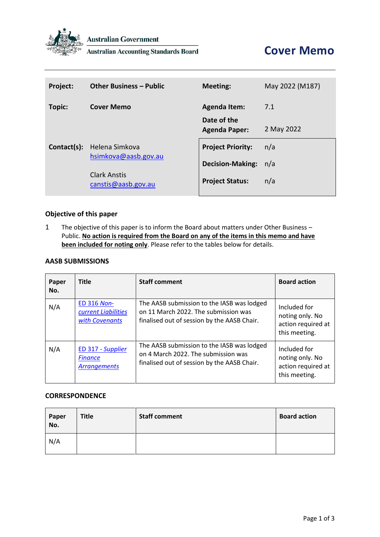

**Australian Government** 

**Australian Accounting Standards Board** 

| Project:    | <b>Other Business - Public</b>             | <b>Meeting:</b>                     | May 2022 (M187) |
|-------------|--------------------------------------------|-------------------------------------|-----------------|
| Topic:      | <b>Cover Memo</b>                          | <b>Agenda Item:</b>                 | 7.1             |
|             |                                            | Date of the<br><b>Agenda Paper:</b> | 2 May 2022      |
| Contact(s): | Helena Simkova                             | <b>Project Priority:</b>            | n/a             |
|             | hsimkova@aasb.gov.au                       | <b>Decision-Making:</b>             | n/a             |
|             | <b>Clark Anstis</b><br>canstis@aasb.gov.au | <b>Project Status:</b>              | n/a             |

#### **Objective of this paper**

1 The objective of this paper is to inform the Board about matters under Other Business – Public. **No action is required from the Board on any of the items in this memo and have been included for noting only**. Please refer to the tables below for details.

### **AASB SUBMISSIONS**

| Paper<br>No. | <b>Title</b>                                                | <b>Staff comment</b>                                                                                                              | <b>Board action</b>                                                    |
|--------------|-------------------------------------------------------------|-----------------------------------------------------------------------------------------------------------------------------------|------------------------------------------------------------------------|
| N/A          | <b>ED 316 Non-</b><br>current Liabilities<br>with Covenants | The AASB submission to the IASB was lodged<br>on 11 March 2022. The submission was<br>finalised out of session by the AASB Chair. | Included for<br>noting only. No<br>action required at<br>this meeting. |
| N/A          | ED 317 - Supplier<br><b>Finance</b><br><b>Arrangements</b>  | The AASB submission to the IASB was lodged<br>on 4 March 2022. The submission was<br>finalised out of session by the AASB Chair.  | Included for<br>noting only. No<br>action required at<br>this meeting. |

#### **CORRESPONDENCE**

| Paper<br>No. | <b>Title</b> | <b>Staff comment</b> | <b>Board action</b> |
|--------------|--------------|----------------------|---------------------|
| N/A          |              |                      |                     |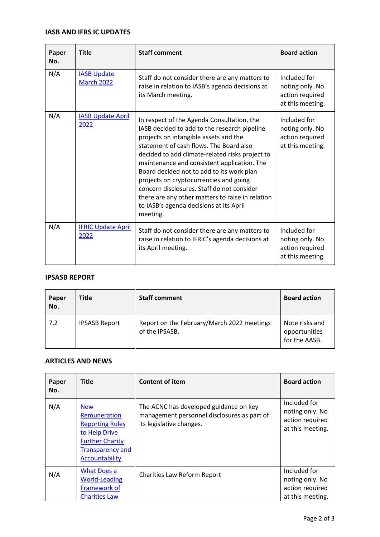### **IASB AND IFRS IC UPDATES**

| Paper<br>No. | <b>Title</b>                            | <b>Staff comment</b>                                                                                                                                                                                                                                                                                                                                                                                                                                                                                                             | <b>Board action</b>                                                    |
|--------------|-----------------------------------------|----------------------------------------------------------------------------------------------------------------------------------------------------------------------------------------------------------------------------------------------------------------------------------------------------------------------------------------------------------------------------------------------------------------------------------------------------------------------------------------------------------------------------------|------------------------------------------------------------------------|
| N/A          | <b>IASB Update</b><br><b>March 2022</b> | Staff do not consider there are any matters to<br>raise in relation to IASB's agenda decisions at<br>its March meeting.                                                                                                                                                                                                                                                                                                                                                                                                          | Included for<br>noting only. No<br>action required<br>at this meeting. |
| N/A          | <b>IASB Update April</b><br>2022        | In respect of the Agenda Consultation, the<br>IASB decided to add to the research pipeline<br>projects on intangible assets and the<br>statement of cash flows. The Board also<br>decided to add climate-related risks project to<br>maintenance and consistent application. The<br>Board decided not to add to its work plan<br>projects on cryptocurrencies and going<br>concern disclosures. Staff do not consider<br>there are any other matters to raise in relation<br>to IASB's agenda decisions at its April<br>meeting. | Included for<br>noting only. No<br>action required<br>at this meeting. |
| N/A          | <b>IFRIC Update April</b><br>2022       | Staff do not consider there are any matters to<br>raise in relation to IFRIC's agenda decisions at<br>its April meeting.                                                                                                                                                                                                                                                                                                                                                                                                         | Included for<br>noting only. No<br>action required<br>at this meeting. |

### **IPSASB REPORT**

| Paper<br>No. | <b>Title</b>         | <b>Staff comment</b>                                         | <b>Board action</b>                              |
|--------------|----------------------|--------------------------------------------------------------|--------------------------------------------------|
| 7.2          | <b>IPSASB Report</b> | Report on the February/March 2022 meetings<br>of the IPSASB. | Note risks and<br>opportunities<br>for the AASB. |

# **ARTICLES AND NEWS**

| Paper<br>No. | <b>Title</b>                                                                                                                                 | <b>Content of item</b>                                                                                            | <b>Board action</b>                                                    |
|--------------|----------------------------------------------------------------------------------------------------------------------------------------------|-------------------------------------------------------------------------------------------------------------------|------------------------------------------------------------------------|
| N/A          | <b>New</b><br>Remuneration<br><b>Reporting Rules</b><br>to Help Drive<br><b>Further Charity</b><br><b>Transparency and</b><br>Accountability | The ACNC has developed guidance on key<br>management personnel disclosures as part of<br>its legislative changes. | Included for<br>noting only. No<br>action required<br>at this meeting. |
| N/A          | <b>What Does a</b><br><b>World-Leading</b><br>Framework of<br><b>Charities Law</b>                                                           | Charities Law Reform Report                                                                                       | Included for<br>noting only. No<br>action required<br>at this meeting. |